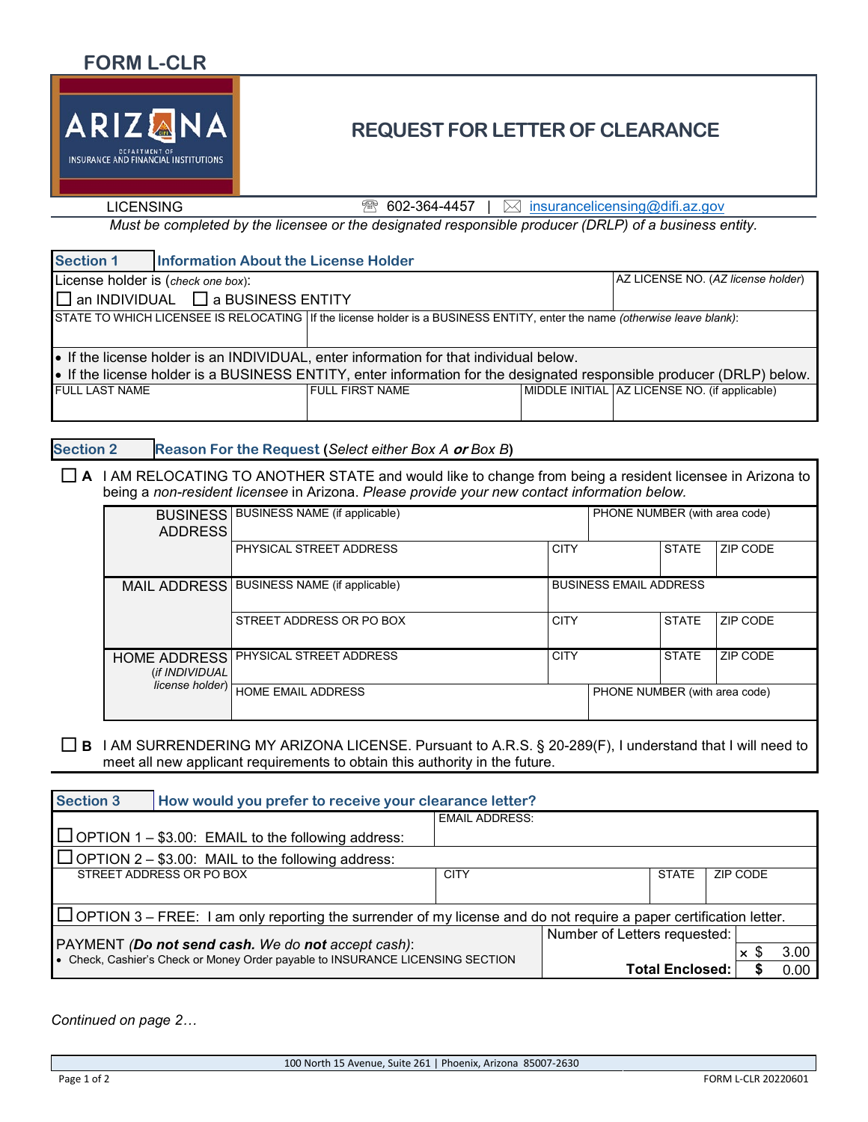

## **REQUEST FOR LETTER OF CLEARANCE**

LICENSING  $\qquad \qquad \textcircled{1}$  602-364-4457 |  $\boxtimes$  insurancelicensing@difi.az.gov

*Must be completed by the licensee or the designated responsible producer (DRLP) of a business entity.*

| <b>Section 1</b>                                                                                                            | <b>Information About the License Holder</b>   |                                    |  |                                               |  |  |  |  |
|-----------------------------------------------------------------------------------------------------------------------------|-----------------------------------------------|------------------------------------|--|-----------------------------------------------|--|--|--|--|
| License holder is (check one box):                                                                                          |                                               | AZ LICENSE NO. (AZ license holder) |  |                                               |  |  |  |  |
|                                                                                                                             | $\Box$ an INDIVIDUAL $\Box$ a BUSINESS ENTITY |                                    |  |                                               |  |  |  |  |
| STATE TO WHICH LICENSEE IS RELOCATING   If the license holder is a BUSINESS ENTITY, enter the name (otherwise leave blank): |                                               |                                    |  |                                               |  |  |  |  |
| • If the license holder is an INDIVIDUAL, enter information for that individual below.                                      |                                               |                                    |  |                                               |  |  |  |  |
| • If the license holder is a BUSINESS ENTITY, enter information for the designated responsible producer (DRLP) below.       |                                               |                                    |  |                                               |  |  |  |  |
| <b>FULL LAST NAME</b>                                                                                                       |                                               | <b>FULL FIRST NAME</b>             |  | MIDDLE INITIAL AZ LICENSE NO. (if applicable) |  |  |  |  |

**Section 2 Reason For the Request (***Select either Box A* **or** *Box B***)**

 **A** I AM RELOCATING TO ANOTHER STATE and would like to change from being a resident licensee in Arizona to being a *non-resident licensee* in Arizona. *Please provide your new contact information below.*

| <b>BUSINESS</b><br><b>ADDRESS</b>     | <b>BUSINESS NAME (if applicable)</b>          |             | PHONE NUMBER (with area code) |                               |          |  |
|---------------------------------------|-----------------------------------------------|-------------|-------------------------------|-------------------------------|----------|--|
|                                       | PHYSICAL STREET ADDRESS                       | <b>CITY</b> |                               | <b>STATE</b>                  | ZIP CODE |  |
| <b>MAIL ADDRESS</b>                   | <b>BUSINESS NAME (if applicable)</b>          |             | <b>BUSINESS EMAIL ADDRESS</b> |                               |          |  |
|                                       | <b>CITY</b><br>STREET ADDRESS OR PO BOX       |             |                               | <b>STATE</b>                  | ZIP CODE |  |
| <b>HOME ADDRESS</b><br>(if INDIVIDUAL | <b>PHYSICAL STREET ADDRESS</b><br><b>CITY</b> |             |                               | <b>STATE</b>                  | ZIP CODE |  |
| license holder)                       | HOME EMAIL ADDRESS                            |             |                               | PHONE NUMBER (with area code) |          |  |

 **B** I AM SURRENDERING MY ARIZONA LICENSE. Pursuant to A.R.S. § 20-289(F), I understand that I will need to meet all new applicant requirements to obtain this authority in the future.

| <b>Section 3</b>                                                                                                         | How would you prefer to receive your clearance letter?    |                       |                              |                        |                       |  |      |  |
|--------------------------------------------------------------------------------------------------------------------------|-----------------------------------------------------------|-----------------------|------------------------------|------------------------|-----------------------|--|------|--|
|                                                                                                                          |                                                           | <b>EMAIL ADDRESS:</b> |                              |                        |                       |  |      |  |
|                                                                                                                          | $\Box$ OPTION 1 – \$3.00: EMAIL to the following address: |                       |                              |                        |                       |  |      |  |
| $\Box$ OPTION 2 – \$3.00: MAIL to the following address:                                                                 |                                                           |                       |                              |                        |                       |  |      |  |
|                                                                                                                          | STREET ADDRESS OR PO BOX                                  | <b>CITY</b>           |                              | <b>STATE</b>           | ZIP CODE              |  |      |  |
|                                                                                                                          |                                                           |                       |                              |                        |                       |  |      |  |
| $\Box$ OPTION 3 – FREE: I am only reporting the surrender of my license and do not require a paper certification letter. |                                                           |                       |                              |                        |                       |  |      |  |
|                                                                                                                          |                                                           |                       | Number of Letters requested: |                        |                       |  |      |  |
| PAYMENT (Do not send cash. We do not accept cash):                                                                       |                                                           |                       |                              |                        | $\boldsymbol{\times}$ |  | 3.00 |  |
| . Check, Cashier's Check or Money Order payable to INSURANCE LICENSING SECTION                                           |                                                           |                       |                              | <b>Total Enclosed:</b> |                       |  | 0.00 |  |

*Continued on page 2…*